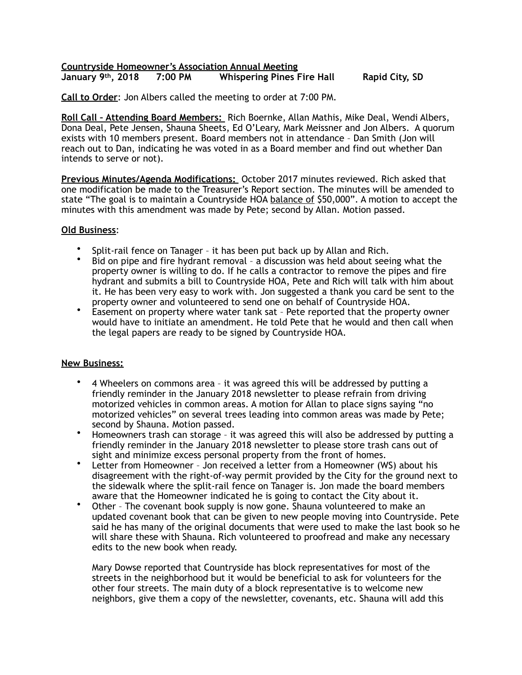## **Countryside Homeowner's Association Annual Meeting 7:00 PM** Whispering Pines Fire Hall Rapid City, SD

**Call to Order**: Jon Albers called the meeting to order at 7:00 PM.

**Roll Call – Attending Board Members:** Rich Boernke, Allan Mathis, Mike Deal, Wendi Albers, Dona Deal, Pete Jensen, Shauna Sheets, Ed O'Leary, Mark Meissner and Jon Albers. A quorum exists with 10 members present. Board members not in attendance – Dan Smith (Jon will reach out to Dan, indicating he was voted in as a Board member and find out whether Dan intends to serve or not).

**Previous Minutes/Agenda Modifications:** October 2017 minutes reviewed. Rich asked that one modification be made to the Treasurer's Report section. The minutes will be amended to state "The goal is to maintain a Countryside HOA balance of \$50,000". A motion to accept the minutes with this amendment was made by Pete; second by Allan. Motion passed.

## **Old Business**:

- Split-rail fence on Tanager it has been put back up by Allan and Rich.
- Bid on pipe and fire hydrant removal a discussion was held about seeing what the property owner is willing to do. If he calls a contractor to remove the pipes and fire hydrant and submits a bill to Countryside HOA, Pete and Rich will talk with him about it. He has been very easy to work with. Jon suggested a thank you card be sent to the property owner and volunteered to send one on behalf of Countryside HOA.
- Easement on property where water tank sat Pete reported that the property owner would have to initiate an amendment. He told Pete that he would and then call when the legal papers are ready to be signed by Countryside HOA.

## **New Business:**

- 4 Wheelers on commons area it was agreed this will be addressed by putting a friendly reminder in the January 2018 newsletter to please refrain from driving motorized vehicles in common areas. A motion for Allan to place signs saying "no motorized vehicles" on several trees leading into common areas was made by Pete; second by Shauna. Motion passed.
- Homeowners trash can storage it was agreed this will also be addressed by putting a friendly reminder in the January 2018 newsletter to please store trash cans out of sight and minimize excess personal property from the front of homes.
- Letter from Homeowner Jon received a letter from a Homeowner (WS) about his disagreement with the right-of-way permit provided by the City for the ground next to the sidewalk where the split-rail fence on Tanager is. Jon made the board members aware that the Homeowner indicated he is going to contact the City about it.
- Other The covenant book supply is now gone. Shauna volunteered to make an updated covenant book that can be given to new people moving into Countryside. Pete said he has many of the original documents that were used to make the last book so he will share these with Shauna. Rich volunteered to proofread and make any necessary edits to the new book when ready.

Mary Dowse reported that Countryside has block representatives for most of the streets in the neighborhood but it would be beneficial to ask for volunteers for the other four streets. The main duty of a block representative is to welcome new neighbors, give them a copy of the newsletter, covenants, etc. Shauna will add this